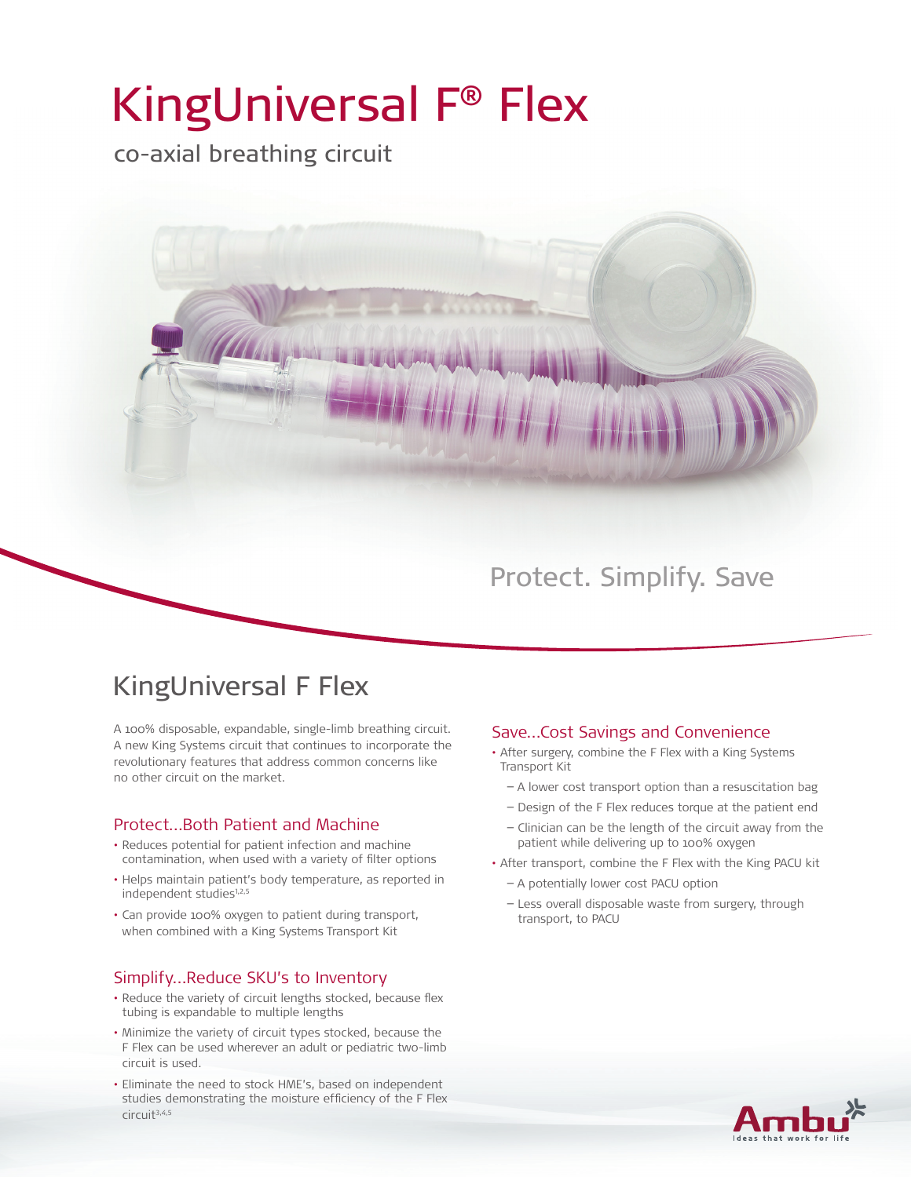# KingUniversal F® Flex

co-axial breathing circuit



## Protect. Simplify. Save

## KingUniversal F Flex

A 100% disposable, expandable, single-limb breathing circuit. A new King Systems circuit that continues to incorporate the revolutionary features that address common concerns like no other circuit on the market.

## Protect…Both Patient and Machine

- Reduces potential for patient infection and machine contamination, when used with a variety of filter options
- Helps maintain patient's body temperature, as reported in independent studies<sup>1,2,5</sup>
- • Can provide 100% oxygen to patient during transport, when combined with a King Systems Transport Kit

### Simplify…Reduce SKU's to Inventory

- Reduce the variety of circuit lengths stocked, because flex tubing is expandable to multiple lengths
- • Minimize the variety of circuit types stocked, because the F Flex can be used wherever an adult or pediatric two-limb circuit is used.
- • Eliminate the need to stock HME's, based on independent studies demonstrating the moisture efficiency of the F Flex circuit3,4,5

### Save…Cost Savings and Convenience

- After surgery, combine the F Flex with a King Systems Transport Kit
	- − A lower cost transport option than a resuscitation bag
	- − Design of the F Flex reduces torque at the patient end
	- − Clinician can be the length of the circuit away from the patient while delivering up to 100% oxygen
- After transport, combine the F Flex with the King PACU kit
	- − A potentially lower cost PACU option
	- − Less overall disposable waste from surgery, through transport, to PACU